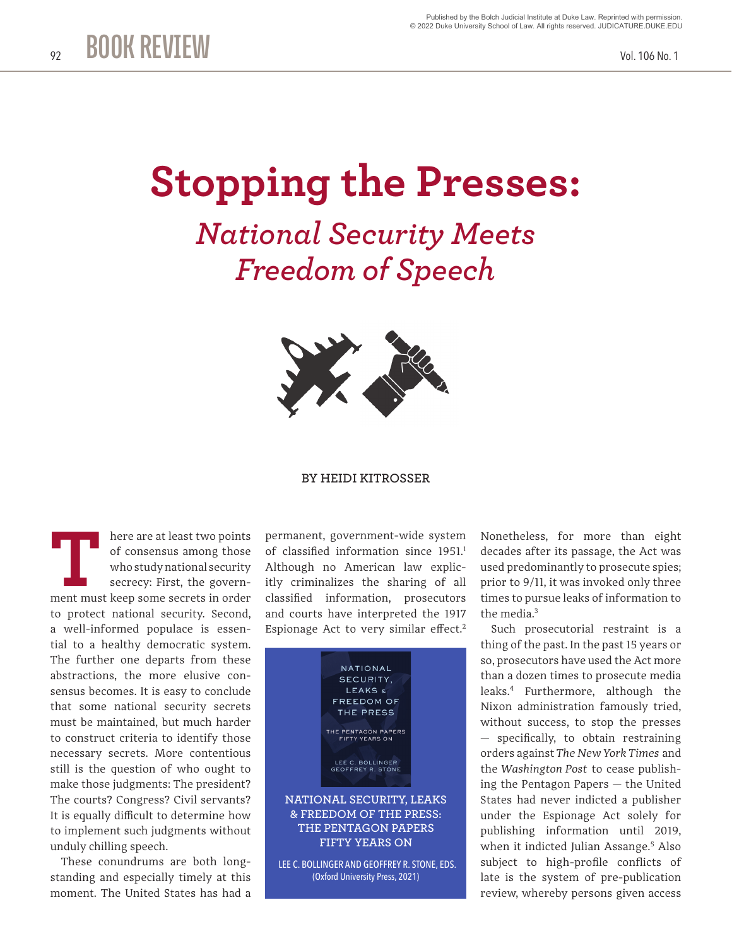## **Stopping the Presses:**

*National Security Meets Freedom of Speech*



## **BY HEIDI KITROSSER**

here are at least two points of consensus among those who study national security secrecy: First, the govern-**EXECUTE:** There are at least two points of consensus among those who study national security secrecy: First, the government must keep some secrets in order to protect national security. Second, a well-informed populace is essential to a healthy democratic system. The further one departs from these abstractions, the more elusive consensus becomes. It is easy to conclude that some national security secrets must be maintained, but much harder to construct criteria to identify those necessary secrets. More contentious still is the question of who ought to make those judgments: The president? The courts? Congress? Civil servants? It is equally difficult to determine how to implement such judgments without unduly chilling speech.

These conundrums are both longstanding and especially timely at this moment. The United States has had a

permanent, government-wide system of classified information since 1951.<sup>1</sup> Although no American law explicitly criminalizes the sharing of all classified information, prosecutors and courts have interpreted the 1917 Espionage Act to very similar effect.<sup>2</sup>



LEE C. BOLLINGER AND GEOFFREY R. STONE, EDS. (Oxford University Press, 2021)

Nonetheless, for more than eight decades after its passage, the Act was used predominantly to prosecute spies; prior to 9/11, it was invoked only three times to pursue leaks of information to the media.<sup>3</sup>

Such prosecutorial restraint is a thing of the past. In the past 15 years or so, prosecutors have used the Act more than a dozen times to prosecute media leaks.4 Furthermore, although the Nixon administration famously tried, without success, to stop the presses — specifically, to obtain restraining orders against *The New York Times* and the *Washington Post* to cease publishing the Pentagon Papers — the United States had never indicted a publisher under the Espionage Act solely for publishing information until 2019, when it indicted Julian Assange.5 Also subject to high-profile conflicts of late is the system of pre-publication review, whereby persons given access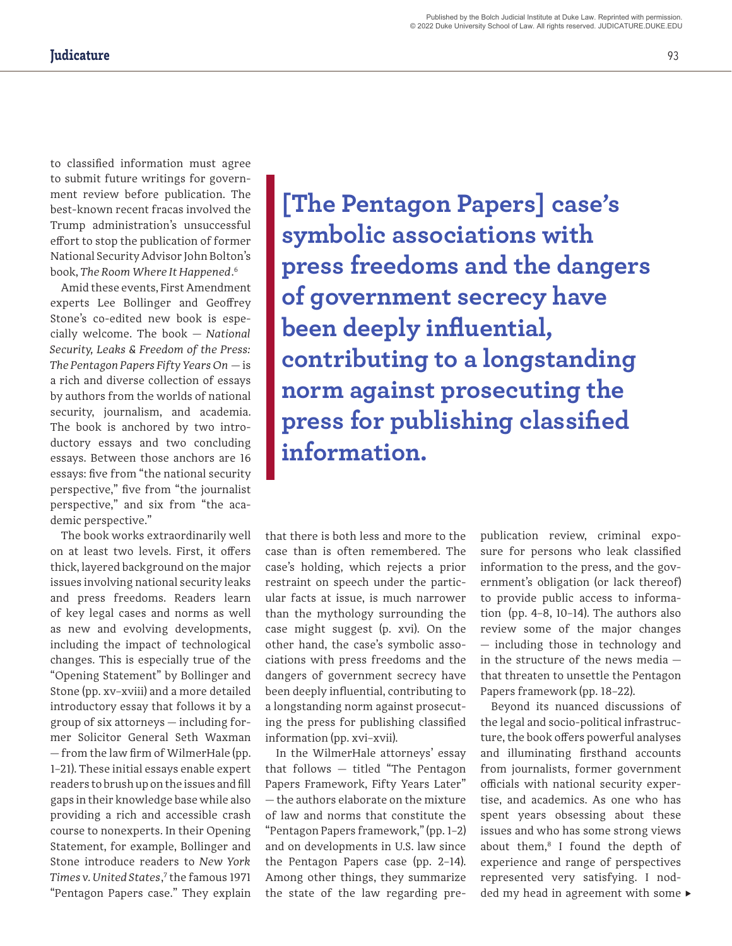to classified information must agree to submit future writings for government review before publication. The best-known recent fracas involved the Trump administration's unsuccessful effort to stop the publication of former National Security Advisor John Bolton's book, *The Room Where It Happened*. 6

Amid these events, First Amendment experts Lee Bollinger and Geoffrey Stone's co-edited new book is especially welcome. The book — *National Security, Leaks & Freedom of the Press: The Pentagon Papers Fifty Years On* — is a rich and diverse collection of essays by authors from the worlds of national security, journalism, and academia. The book is anchored by two introductory essays and two concluding essays. Between those anchors are 16 essays: five from "the national security perspective," five from "the journalist perspective," and six from "the academic perspective."

The book works extraordinarily well on at least two levels. First, it offers thick, layered background on the major issues involving national security leaks and press freedoms. Readers learn of key legal cases and norms as well as new and evolving developments, including the impact of technological changes. This is especially true of the "Opening Statement" by Bollinger and Stone (pp. xv–xviii) and a more detailed introductory essay that follows it by a group of six attorneys — including former Solicitor General Seth Waxman — from the law firm of WilmerHale (pp. 1–21). These initial essays enable expert readers to brush up on the issues and fill gaps in their knowledge base while also providing a rich and accessible crash course to nonexperts. In their Opening Statement, for example, Bollinger and Stone introduce readers to *New York Times v. United States*, 7 the famous 1971 "Pentagon Papers case." They explain

**[The Pentagon Papers] case's symbolic associations with press freedoms and the dangers of government secrecy have been deeply influential, contributing to a longstanding norm against prosecuting the press for publishing classified information.**

that there is both less and more to the case than is often remembered. The case's holding, which rejects a prior restraint on speech under the particular facts at issue, is much narrower than the mythology surrounding the case might suggest (p. xvi). On the other hand, the case's symbolic associations with press freedoms and the dangers of government secrecy have been deeply influential, contributing to a longstanding norm against prosecuting the press for publishing classified information (pp. xvi–xvii).

In the WilmerHale attorneys' essay that follows — titled "The Pentagon Papers Framework, Fifty Years Later" — the authors elaborate on the mixture of law and norms that constitute the "Pentagon Papers framework," (pp. 1–2) and on developments in U.S. law since the Pentagon Papers case (pp. 2–14). Among other things, they summarize the state of the law regarding pre-

publication review, criminal exposure for persons who leak classified information to the press, and the government's obligation (or lack thereof) to provide public access to information (pp. 4–8, 10–14). The authors also review some of the major changes — including those in technology and in the structure of the news media that threaten to unsettle the Pentagon Papers framework (pp. 18–22).

ded my head in agreement with some  $\blacktriangleright$ Beyond its nuanced discussions of the legal and socio-political infrastructure, the book offers powerful analyses and illuminating firsthand accounts from journalists, former government officials with national security expertise, and academics. As one who has spent years obsessing about these issues and who has some strong views about them,<sup>8</sup> I found the depth of experience and range of perspectives represented very satisfying. I nod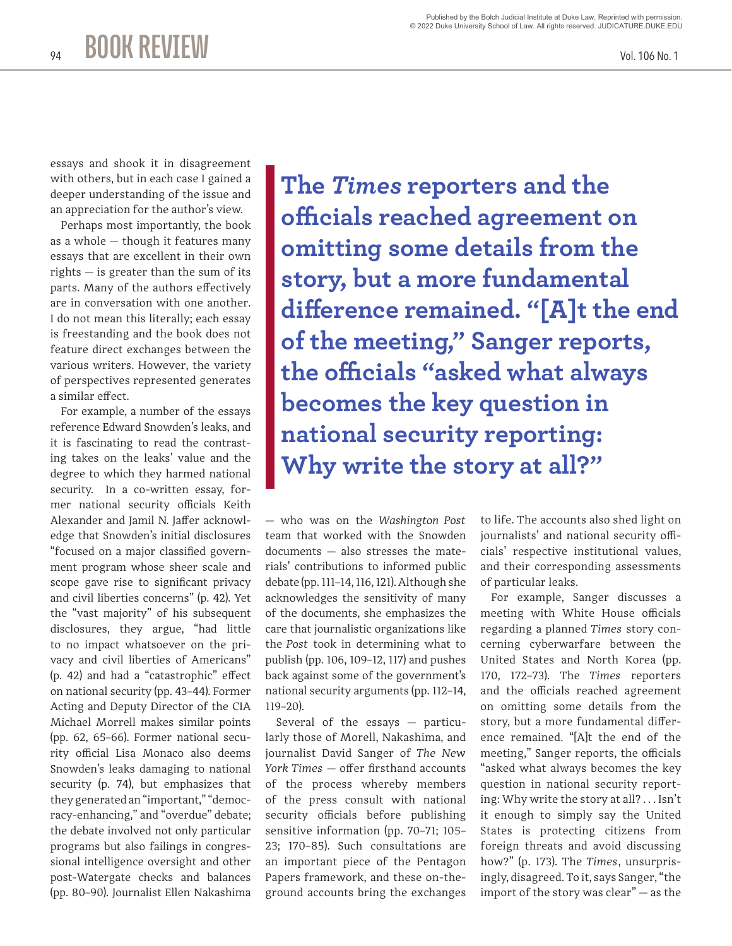essays and shook it in disagreement with others, but in each case I gained a deeper understanding of the issue and an appreciation for the author's view.

**BOOK REVIEW**

Perhaps most importantly, the book as a whole — though it features many essays that are excellent in their own rights — is greater than the sum of its parts. Many of the authors effectively are in conversation with one another. I do not mean this literally; each essay is freestanding and the book does not feature direct exchanges between the various writers. However, the variety of perspectives represented generates a similar effect.

For example, a number of the essays reference Edward Snowden's leaks, and it is fascinating to read the contrasting takes on the leaks' value and the degree to which they harmed national security. In a co-written essay, former national security officials Keith Alexander and Jamil N. Jaffer acknowledge that Snowden's initial disclosures "focused on a major classified government program whose sheer scale and scope gave rise to significant privacy and civil liberties concerns" (p. 42). Yet the "vast majority" of his subsequent disclosures, they argue, "had little to no impact whatsoever on the privacy and civil liberties of Americans" (p. 42) and had a "catastrophic" effect on national security (pp. 43–44). Former Acting and Deputy Director of the CIA Michael Morrell makes similar points (pp. 62, 65–66). Former national security official Lisa Monaco also deems Snowden's leaks damaging to national security (p. 74), but emphasizes that they generated an "important," "democracy-enhancing," and "overdue" debate; the debate involved not only particular programs but also failings in congressional intelligence oversight and other post-Watergate checks and balances (pp. 80–90). Journalist Ellen Nakashima

**The** *Times* **reporters and the officials reached agreement on omitting some details from the story, but a more fundamental difference remained. "[A]t the end of the meeting," Sanger reports, the officials "asked what always becomes the key question in national security reporting: Why write the story at all?"**

— who was on the *Washington Post* team that worked with the Snowden documents — also stresses the materials' contributions to informed public debate (pp. 111–14, 116, 121). Although she acknowledges the sensitivity of many of the documents, she emphasizes the care that journalistic organizations like the *Post* took in determining what to publish (pp. 106, 109–12, 117) and pushes back against some of the government's national security arguments (pp. 112–14, 119–20).

Several of the essays — particularly those of Morell, Nakashima, and journalist David Sanger of *The New York Times* — offer firsthand accounts of the process whereby members of the press consult with national security officials before publishing sensitive information (pp. 70–71; 105– 23; 170–85). Such consultations are an important piece of the Pentagon Papers framework, and these on-theground accounts bring the exchanges

to life. The accounts also shed light on journalists' and national security officials' respective institutional values, and their corresponding assessments of particular leaks.

For example, Sanger discusses a meeting with White House officials regarding a planned *Times* story concerning cyberwarfare between the United States and North Korea (pp. 170, 172–73). The *Times* reporters and the officials reached agreement on omitting some details from the story, but a more fundamental difference remained. "[A]t the end of the meeting," Sanger reports, the officials "asked what always becomes the key question in national security reporting: Why write the story at all? . . . Isn't it enough to simply say the United States is protecting citizens from foreign threats and avoid discussing how?" (p. 173). The *Times*, unsurprisingly, disagreed. To it, says Sanger, "the import of the story was clear" — as the